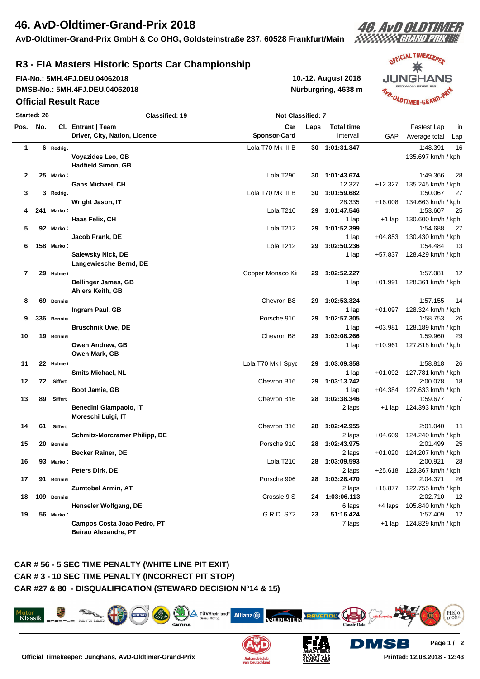# **46. AvD-Oldtimer-Grand-Prix 2018**

**AvD-Oldtimer-Grand-Prix GmbH & Co OHG, Goldsteinstraße 237, 60528 Frankfurt/Main**

# 46. AvD OLDTIMER

## **R3 - FIA Masters Historic Sports Car Championship**

**FIA-No.: 5MH.4FJ.DEU.04062018 10.-12. August 2018 DMSB-No.: 5MH.4FJ.DEU.04062018**

#### **Official Result Race**

**Nürburgring, 4638 m**



**Printed: 12.08.2018 - 12:43**

**Started: 26 Classified: 19 Not Classified: 7 Pos. No. Cl. Entrant | Team Car Laps Total time** Fastest Lap in **Driver, City, Nation, Licence Sponsor-Card** Intervall GAP Average total Lap **1 6 Rodrigue** Lola T70 Mk III B **30 1:01:31.347** 1:48.391 16 **Voyazides Leo, GB** 135.697 km/h / kph **Hadfield Simon, GB 2 25 Marko Cl** Lola T290 **30 1:01:43.674** 1:49.366 28 **Gans Michael, CH** 12.327 +12.327 135.245 km/h / kph **3 3 Rodrigue** Lola T70 Mk III B **30 1:01:59.682** 1:50.067 27 **Wright Jason, IT** 28.335 +16.008 134.663 km/h / kph **4 241 Marko Cl** Lola T210 **29 1:01:47.546** 1:53.607 25 **Haas Felix, CH** 130.600 km/h / kph **5 92 Marko Cl** Lola T212 **29 1:01:52.399** 1:54.688 27 **Jacob Frank, DE** 1 lap +04.853 130.430 km/h / kph **6 158 Marko Cl** Lola T212 **29 1:02:50.236** 1:54.484 13 **Salewsky Nick, DE** 1 **lap 457.837 128.429 km/h / kph Langewiesche Bernd, DE 7 29 Hulme Cl** Cooper Monaco King Cobra **29 1:02:52.227** 1:57.081 12 **Bellinger James, GB** 1 **and 28.361 km/h / kph** 1 **and 28.361 km/h / kph** 1 lap 128.361 km/h / kph **Ahlers Keith, GB 8 69 Bonnier** Chevron B8 **29 1:02:53.324** 1:57.155 14 **Ingram Paul, GB** 1 **Ingram Paul, GB** 1 **lap 128.324 km/h / kph 9 336 Bonnier** Porsche 910 **29 1:02:57.305** 1:58.753 26 **Bruschnik Uwe, DE** 1 **lap 128.189 km/h / kph**  $\frac{1}{2}$  1 lap  $\frac{1}{2}$  1 lap  $\frac{1}{2}$  189 km/h / kph **10 19 Bonnier** Chevron B8 **29 1:03:08.266** 1:59.960 29 **Owen Andrew, GB** 1 **lap 1 and 127.818 km/h / kph** 1 **cm** 1 **and 127.818 km/h / kph Owen Mark, GB 11 22 Hulme Cl** Lola T70 Mk I Spyder **29 1:03:09.358** 1:58.818 26 **Smits Michael, NL** 1 lap +01.092 127.781 km/h / kph **12 72 Siffert** Chevron B16 **29 1:03:13.742** 2:00.078 18 **Boot Jamie, GB** 127.633 km/h / kph **13 89 Siffert** Chevron B16 **28 1:02:38.346** 1:59.677 7 **Benedini Giampaolo, IT** 2012 2008 2014 124.393 km/h / kph **Moreschi Luigi, IT 14 61 Siffert** Chevron B16 **28 1:02:42.955** 2:01.040 11 **Schmitz-Morcramer Philipp, DE** 2 laps +04.609 124.240 km/h / kph **15 20 Bonnier** Porsche 910 **28 1:02:43.975** 2:01.499 25 **Becker Rainer, DE** 2 laps +01.020 124.207 km/h / kph **16 93 Marko Cl** Lola T210 **28 1:03:09.593** 2:00.921 28 **Peters Dirk, DE** 2 laps +25.618 123.367 km/h / kph **17 91 Bonnier** Porsche 906 **28 1:03:28.470** 2:04.371 26 **Zumtobel Armin, AT** 2 laps +18.877 122.755 km/h / kph **18 109 Bonnier** Crossle 9 S **24 1:03:06.113** 2:02.710 12 **Henseler Wolfgang, DE** 6 **laps 105.840 km/h / kph** 6 **laps 4 laps 105.840 km/h / kph 19 56 Marko Cl** G.R.D. S72 **23 51:16.424** 1:57.409 12 **Campos Costa Joao Pedro, PT** 7 **124.829 km/h / kph**  $\frac{1}{2}$  7 laps  $\frac{1}{2}$  124.829 km/h / kph **Beirao Alexandre, PT**

#### **CAR # 56 - 5 SEC TIME PENALTY (WHITE LINE PIT EXIT) CAR # 3 - 10 SEC TIME PENALTY (INCORRECT PIT STOP) CAR #27 & 80 - DISQUALIFICATION (STEWARD DECISION N°14 & 15)**